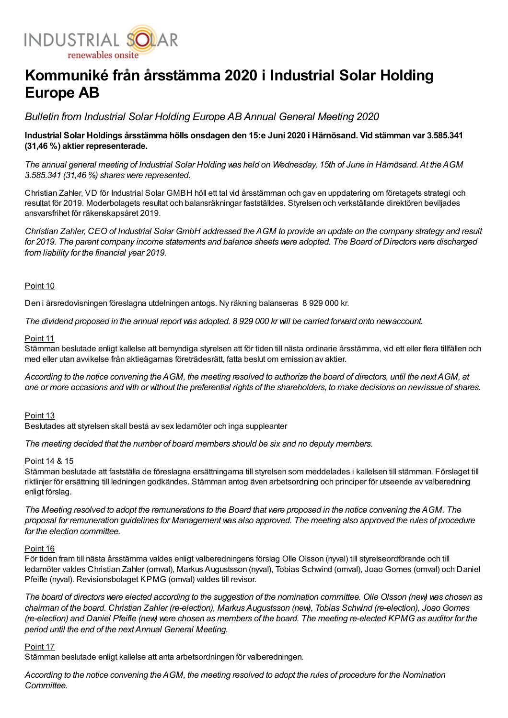

# Kommuniké från årsstämma 2020 i Industrial Solar Holding Europe AB

Bulletin from Industrial Solar Holding Europe AB Annual General Meeting 2020

Industrial Solar Holdings årsstämma hölls onsdagen den 15:e Juni 2020 i Härnösand. Vid stämman var 3.585.341 (31,46 %) aktier representerade.

The annual general meeting of Industrial Solar Holding was held on Wednesday, 15th of June in Härnösand. At the AGM 3.585.341 (31,46 %) shares were represented.

Christian Zahler, VD för Industrial Solar GMBH höll ett tal vid årsstämman och gav en uppdatering om företagets strategi och resultat för 2019. Moderbolagets resultat och balansräkningar fastställdes. Styrelsen och verkställande direktören beviljades ansvarsfrihet för räkenskapsåret 2019.

Christian Zahler, CEO of Industrial Solar GmbH addressed the AGM to provide an update on the company strategy and result for 2019. The parent company income statements and balance sheets were adopted. The Board of Directors were discharged from liability for the financial year 2019.

## Point 10

Den i årsredovisningen föreslagna utdelningen antogs. Ny räkning balanseras 8 929 000 kr.

The dividend proposed in the annual report was adopted. 8 929 000 kr will be carried forward onto newaccount.

### Point 11

Stämman beslutade enligt kallelse att bemyndiga styrelsen att för tiden till nästa ordinarie årsstämma, vid ett eller flera tillfällen och med eller utan avvikelse från aktieägarnas företrädesrätt, fatta beslut om emission av aktier.

According to the notice convening the AGM, the meeting resolved to authorize the board of directors, until the nextAGM, at one or more occasions and with or without the preferential rights of the shareholders, to make decisions on newissue of shares.

#### Point 13

Beslutades att styrelsen skall bestå av sex ledamöter och inga suppleanter

The meeting decided that the number of board members should be six and no deputy members.

## Point 14 & 15

Stämman beslutade att fastställa de föreslagna ersättningarna till styrelsen som meddelades i kallelsen till stämman. Förslaget till riktlinjer för ersättning till ledningen godkändes. Stämman antog även arbetsordning och principer för utseende av valberedning enligt förslag.

The Meeting resolved to adopt the remunerations to the Board that were proposed in the notice convening the AGM. The proposal for remuneration guidelines for Management was also approved. The meeting also approved the rules of procedure for the election committee.

#### Point 16

För tiden fram till nästa årsstämma valdes enligt valberedningens förslag Olle Olsson (nyval) till styrelseordförande och till ledamöter valdes Christian Zahler (omval), Markus Augustsson (nyval), Tobias Schwind (omval), Joao Gomes (omval) och Daniel Pfeifle (nyval). Revisionsbolaget KPMG (omval) valdes till revisor.

The board of directors were elected according to the suggestion of the nomination committee. Olle Olsson (new) was chosen as chairman of the board. Christian Zahler (re-election), Markus Augustsson (new), Tobias Schwind (re-election), Joao Gomes (re-election) and Daniel Pfeifle (new) were chosen as members of the board. The meeting re-elected KPMG as auditor for the period until the end of the nextAnnual General Meeting.

## Point 17

Stämman beslutade enligt kallelse att anta arbetsordningen för valberedningen.

According to the notice convening the AGM, the meeting resolved to adopt the rules of procedure for the Nomination **Committee**